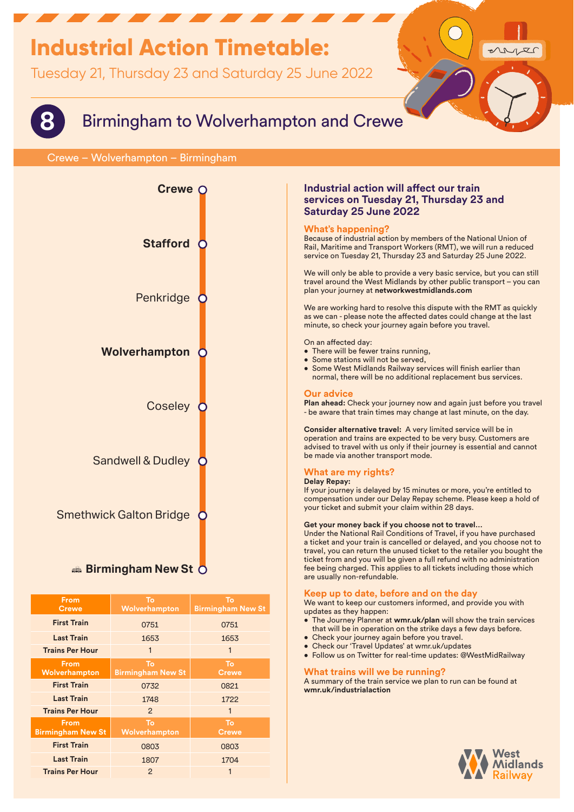# **Industrial Action Timetable:**

Tuesday 21, Thursday 23 and Saturday 25 June 2022



## **8** Birmingham to Wolverhampton and Crewe

## Crewe – Wolverhampton – Birmingham



| <b>From</b><br><b>Crewe</b>             | To<br>Wolverhampton            | To<br><b>Birmingham New St</b> |
|-----------------------------------------|--------------------------------|--------------------------------|
| <b>First Train</b>                      | 0751                           | 0751                           |
| <b>Last Train</b>                       | 1653                           | 1653                           |
| <b>Trains Per Hour</b>                  | 1                              | 1                              |
| <b>From</b><br>Wolverhampton            | To<br><b>Birmingham New St</b> | To<br><b>Crewe</b>             |
| <b>First Train</b>                      | 0732                           | 0821                           |
| <b>Last Train</b>                       | 1748                           | 1722                           |
| <b>Trains Per Hour</b>                  | $\mathcal{P}$                  | 1                              |
| <b>From</b><br><b>Birmingham New St</b> | To<br>Wolverhampton            | To<br><b>Crewe</b>             |
| <b>First Train</b>                      | 0803                           | 0803                           |
| <b>Last Train</b>                       | 1807                           | 1704                           |
| <b>Trains Per Hour</b>                  | 2                              | 1                              |

## **Industrial action will affect our train services on Tuesday 21, Thursday 23 and Saturday 25 June 2022**

## **What's happening?**

Because of industrial action by members of the National Union of Rail, Maritime and Transport Workers (RMT), we will run a reduced service on Tuesday 21, Thursday 23 and Saturday 25 June 2022.

We will only be able to provide a very basic service, but you can still travel around the West Midlands by other public transport – you can plan your journey at **networkwestmidlands.com**

We are working hard to resolve this dispute with the RMT as quickly as we can - please note the affected dates could change at the last minute, so check your journey again before you travel.

#### On an affected day:

- There will be fewer trains running,
- Some stations will not be served.
- Some West Midlands Railway services will finish earlier than normal, there will be no additional replacement bus services.

### **Our advice**

**Plan ahead:** Check your journey now and again just before you travel - be aware that train times may change at last minute, on the day.

**Consider alternative travel:** A very limited service will be in operation and trains are expected to be very busy. Customers are advised to travel with us only if their journey is essential and cannot be made via another transport mode.

## **What are my rights?**

## **Delay Repay:**

If your journey is delayed by 15 minutes or more, you're entitled to compensation under our Delay Repay scheme. Please keep a hold of your ticket and submit your claim within 28 days.

#### **Get your money back if you choose not to travel…**

Under the National Rail Conditions of Travel, if you have purchased a ticket and your train is cancelled or delayed, and you choose not to travel, you can return the unused ticket to the retailer you bought the ticket from and you will be given a full refund with no administration fee being charged. This applies to all tickets including those which are usually non-refundable.

### **Keep up to date, before and on the day**

We want to keep our customers informed, and provide you with updates as they happen:

- The Journey Planner at **wmr.uk/plan** will show the train services that will be in operation on the strike days a few days before.
- Check your journey again before you travel.
- Check our 'Travel Updates' at wmr.uk/updates
- Follow us on Twitter for real-time updates: @WestMidRailway

## **What trains will we be running?**

A summary of the train service we plan to run can be found at **wmr.uk/industrialaction**